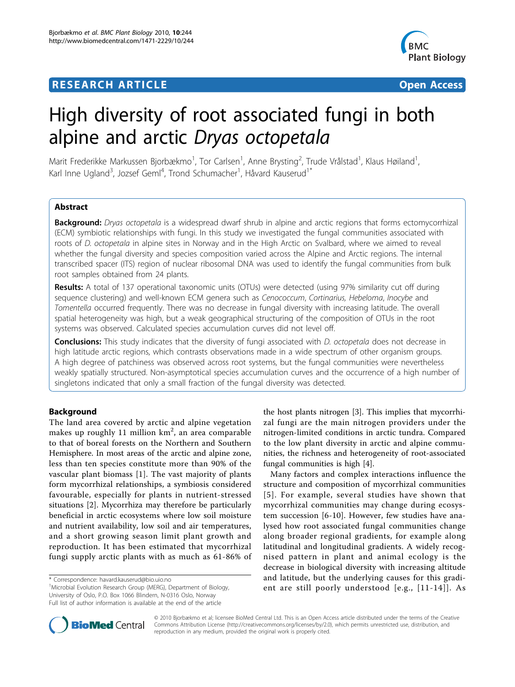# **RESEARCH ARTICLE Example 2018 12:30 THE Open Access**



# High diversity of root associated fungi in both alpine and arctic Dryas octopetala

Marit Frederikke Markussen Bjorbækmo<sup>1</sup>, Tor Carlsen<sup>1</sup>, Anne Brysting<sup>2</sup>, Trude Vrålstad<sup>1</sup>, Klaus Høiland<sup>1</sup> , Karl Inne Ugland<sup>3</sup>, Jozsef Geml<sup>4</sup>, Trond Schumacher<sup>1</sup>, Håvard Kauserud<sup>1\*</sup>

# Abstract

Background: Dryas octopetala is a widespread dwarf shrub in alpine and arctic regions that forms ectomycorrhizal (ECM) symbiotic relationships with fungi. In this study we investigated the fungal communities associated with roots of D. octopetala in alpine sites in Norway and in the High Arctic on Svalbard, where we aimed to reveal whether the fungal diversity and species composition varied across the Alpine and Arctic regions. The internal transcribed spacer (ITS) region of nuclear ribosomal DNA was used to identify the fungal communities from bulk root samples obtained from 24 plants.

Results: A total of 137 operational taxonomic units (OTUs) were detected (using 97% similarity cut off during sequence clustering) and well-known ECM genera such as Cenococcum, Cortinarius, Hebeloma, Inocybe and Tomentella occurred frequently. There was no decrease in fungal diversity with increasing latitude. The overall spatial heterogeneity was high, but a weak geographical structuring of the composition of OTUs in the root systems was observed. Calculated species accumulation curves did not level off.

**Conclusions:** This study indicates that the diversity of fungi associated with *D. octopetala* does not decrease in high latitude arctic regions, which contrasts observations made in a wide spectrum of other organism groups. A high degree of patchiness was observed across root systems, but the fungal communities were nevertheless weakly spatially structured. Non-asymptotical species accumulation curves and the occurrence of a high number of singletons indicated that only a small fraction of the fungal diversity was detected.

# Background

The land area covered by arctic and alpine vegetation makes up roughly 11 million km $^2$ , an area comparable to that of boreal forests on the Northern and Southern Hemisphere. In most areas of the arctic and alpine zone, less than ten species constitute more than 90% of the vascular plant biomass [\[1](#page-10-0)]. The vast majority of plants form mycorrhizal relationships, a symbiosis considered favourable, especially for plants in nutrient-stressed situations [\[2](#page-10-0)]. Mycorrhiza may therefore be particularly beneficial in arctic ecosystems where low soil moisture and nutrient availability, low soil and air temperatures, and a short growing season limit plant growth and reproduction. It has been estimated that mycorrhizal fungi supply arctic plants with as much as 61-86% of

<sup>1</sup>Microbial Evolution Research Group (MERG), Department of Biology, University of Oslo, P.O. Box 1066 Blindern, N-0316 Oslo, Norway Full list of author information is available at the end of the article

the host plants nitrogen [[3](#page-10-0)]. This implies that mycorrhizal fungi are the main nitrogen providers under the nitrogen-limited conditions in arctic tundra. Compared to the low plant diversity in arctic and alpine communities, the richness and heterogeneity of root-associated fungal communities is high [[4\]](#page-10-0).

Many factors and complex interactions influence the structure and composition of mycorrhizal communities [[5\]](#page-10-0). For example, several studies have shown that mycorrhizal communities may change during ecosystem succession [[6-10](#page-10-0)]. However, few studies have analysed how root associated fungal communities change along broader regional gradients, for example along latitudinal and longitudinal gradients. A widely recognised pattern in plant and animal ecology is the decrease in biological diversity with increasing altitude and latitude, but the underlying causes for this gradient are still poorly understood [e.g., [[11](#page-10-0)-[14](#page-10-0)]]. As



© 2010 Bjorbækmo et al; licensee BioMed Central Ltd. This is an Open Access article distributed under the terms of the Creative Commons Attribution License [\(http://creativecommons.org/licenses/by/2.0](http://creativecommons.org/licenses/by/2.0)), which permits unrestricted use, distribution, and reproduction in any medium, provided the original work is properly cited.

<sup>\*</sup> Correspondence: [havard.kauserud@bio.uio.no](mailto:havard.kauserud@bio.uio.no)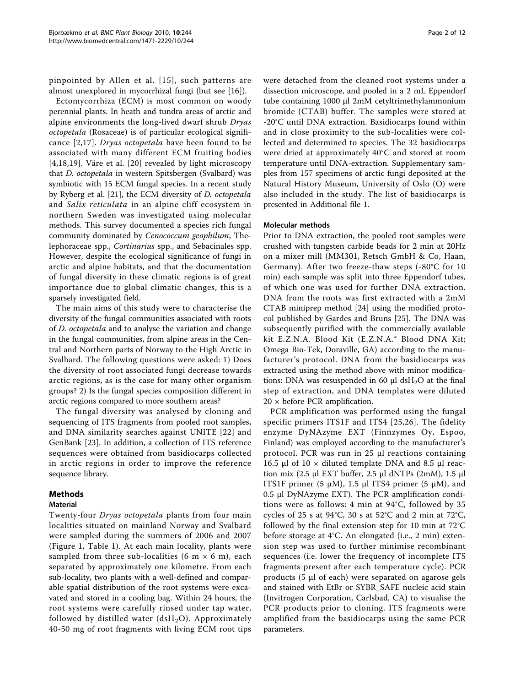pinpointed by Allen et al. [[15](#page-10-0)], such patterns are almost unexplored in mycorrhizal fungi (but see [[16\]](#page-10-0)).

Ectomycorrhiza (ECM) is most common on woody perennial plants. In heath and tundra areas of arctic and alpine environments the long-lived dwarf shrub Dryas octopetala (Rosaceae) is of particular ecological significance [[2](#page-10-0),[17](#page-10-0)]. Dryas octopetala have been found to be associated with many different ECM fruiting bodies [[4,18,19](#page-10-0)]. Väre et al. [[20\]](#page-10-0) revealed by light microscopy that D. octopetala in western Spitsbergen (Svalbard) was symbiotic with 15 ECM fungal species. In a recent study by Ryberg et al. [[21\]](#page-10-0), the ECM diversity of D. octopetala and Salix reticulata in an alpine cliff ecosystem in northern Sweden was investigated using molecular methods. This survey documented a species rich fungal community dominated by Cenococcum geophilum, Thelephoraceae spp., Cortinarius spp., and Sebacinales spp. However, despite the ecological significance of fungi in arctic and alpine habitats, and that the documentation of fungal diversity in these climatic regions is of great importance due to global climatic changes, this is a sparsely investigated field.

The main aims of this study were to characterise the diversity of the fungal communities associated with roots of D. octopetala and to analyse the variation and change in the fungal communities, from alpine areas in the Central and Northern parts of Norway to the High Arctic in Svalbard. The following questions were asked: 1) Does the diversity of root associated fungi decrease towards arctic regions, as is the case for many other organism groups? 2) Is the fungal species composition different in arctic regions compared to more southern areas?

The fungal diversity was analysed by cloning and sequencing of ITS fragments from pooled root samples, and DNA similarity searches against UNITE [[22](#page-10-0)] and GenBank [\[23](#page-10-0)]. In addition, a collection of ITS reference sequences were obtained from basidiocarps collected in arctic regions in order to improve the reference sequence library.

# Methods

#### Material

Twenty-four Dryas octopetala plants from four main localities situated on mainland Norway and Svalbard were sampled during the summers of 2006 and 2007 (Figure [1,](#page-2-0) Table [1\)](#page-2-0). At each main locality, plants were sampled from three sub-localities (6 m  $\times$  6 m), each separated by approximately one kilometre. From each sub-locality, two plants with a well-defined and comparable spatial distribution of the root systems were excavated and stored in a cooling bag. Within 24 hours, the root systems were carefully rinsed under tap water, followed by distilled water  $(dsH<sub>2</sub>O)$ . Approximately 40-50 mg of root fragments with living ECM root tips were detached from the cleaned root systems under a dissection microscope, and pooled in a 2 mL Eppendorf tube containing 1000 μl 2mM cetyltrimethylammonium bromide (CTAB) buffer. The samples were stored at -20°C until DNA extraction. Basidiocarps found within and in close proximity to the sub-localities were collected and determined to species. The 32 basidiocarps were dried at approximately 40°C and stored at room temperature until DNA-extraction. Supplementary samples from 157 specimens of arctic fungi deposited at the Natural History Museum, University of Oslo (O) were also included in the study. The list of basidiocarps is presented in Additional file [1](#page-9-0).

#### Molecular methods

Prior to DNA extraction, the pooled root samples were crushed with tungsten carbide beads for 2 min at 20Hz on a mixer mill (MM301, Retsch GmbH & Co, Haan, Germany). After two freeze-thaw steps (-80°C for 10 min) each sample was split into three Eppendorf tubes, of which one was used for further DNA extraction. DNA from the roots was first extracted with a 2mM CTAB miniprep method [[24\]](#page-10-0) using the modified protocol published by Gardes and Bruns [\[25](#page-10-0)]. The DNA was subsequently purified with the commercially available kit E.Z.N.A. Blood Kit (E.Z.N.A.® Blood DNA Kit; Omega Bio-Tek, Doraville, GA) according to the manufacturer's protocol. DNA from the basidiocarps was extracted using the method above with minor modifications: DNA was resuspended in 60  $\mu$ l dsH<sub>2</sub>O at the final step of extraction, and DNA templates were diluted 20 × before PCR amplification.

PCR amplification was performed using the fungal specific primers ITS1F and ITS4 [[25,26\]](#page-10-0). The fidelity enzyme DyNAzyme EXT (Finnzymes Oy, Espoo, Finland) was employed according to the manufacturer's protocol. PCR was run in 25 μl reactions containing 16.5 μl of 10  $\times$  diluted template DNA and 8.5 μl reaction mix (2.5 μl EXT buffer, 2.5 μl dNTPs (2mM), 1.5 μl ITS1F primer (5 μM), 1.5 μl ITS4 primer (5 μM), and 0.5 μl DyNAzyme EXT). The PCR amplification conditions were as follows: 4 min at 94°C, followed by 35 cycles of 25 s at 94°C, 30 s at 52°C and 2 min at 72°C, followed by the final extension step for 10 min at 72°C before storage at 4°C. An elongated (i.e., 2 min) extension step was used to further minimise recombinant sequences (i.e. lower the frequency of incomplete ITS fragments present after each temperature cycle). PCR products (5 μl of each) were separated on agarose gels and stained with EtBr or SYBR\_SAFE nucleic acid stain (Invitrogen Corporation, Carlsbad, CA) to visualise the PCR products prior to cloning. ITS fragments were amplified from the basidiocarps using the same PCR parameters.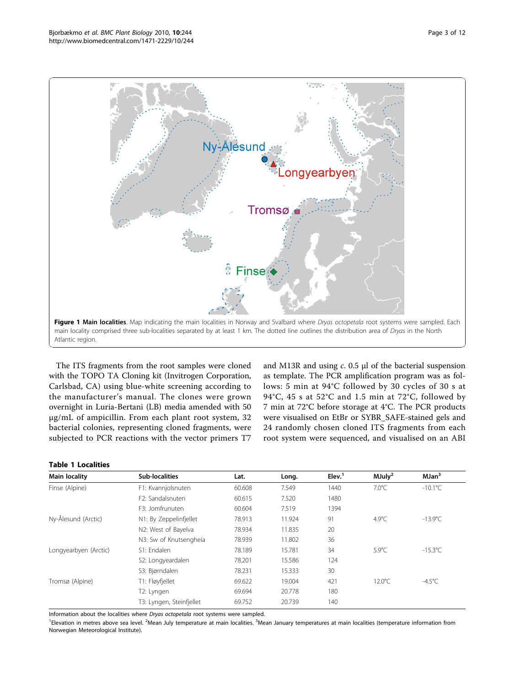<span id="page-2-0"></span>

The ITS fragments from the root samples were cloned with the TOPO TA Cloning kit (Invitrogen Corporation, Carlsbad, CA) using blue-white screening according to the manufacturer's manual. The clones were grown overnight in Luria-Bertani (LB) media amended with 50 μg/mL of ampicillin. From each plant root system, 32 bacterial colonies, representing cloned fragments, were subjected to PCR reactions with the vector primers T7

as template. The PCR amplification program was as follows: 5 min at 94°C followed by 30 cycles of 30 s at 94°C, 45 s at 52°C and 1.5 min at 72°C, followed by 7 min at 72°C before storage at 4°C. The PCR products were visualised on EtBr or SYBR\_SAFE-stained gels and 24 randomly chosen cloned ITS fragments from each root system were sequenced, and visualised on an ABI

#### Table 1 Localities

| Main locality         | <b>Sub-localities</b>    | Lat.   | Long.  | Elev. <sup>1</sup> | $M$ July <sup>2</sup> | MJan <sup>3</sup> |
|-----------------------|--------------------------|--------|--------|--------------------|-----------------------|-------------------|
| Finse (Alpine)        | F1: Kvannjolsnuten       | 60.608 | 7.549  | 1440               | $7.0^{\circ}$ C       | $-10.1^{\circ}$ C |
|                       | F2: Sandalsnuten         | 60.615 | 7.520  | 1480               |                       |                   |
|                       | F3: Jomfrunuten          | 60.604 | 7.519  | 1394               |                       |                   |
| Ny-Ålesund (Arctic)   | N1: By Zeppelinfiellet   | 78.913 | 11.924 | 91                 | $4.9^{\circ}$ C       | $-13.9^{\circ}$ C |
|                       | N2: West of Bayelva      | 78.934 | 11.835 | 20                 |                       |                   |
|                       | N3: Sw of Knutsengheia   | 78.939 | 11.802 | 36                 |                       |                   |
| Longyearbyen (Arctic) | S1: Endalen              | 78.189 | 15.781 | 34                 | $5.9^{\circ}$ C       | $-15.3^{\circ}$ C |
|                       | S2: Longyeardalen        | 78.201 | 15.586 | 124                |                       |                   |
|                       | S3: Bjørndalen           | 78.231 | 15.333 | 30                 |                       |                   |
| Tromsø (Alpine)       | T1: Fløyfjellet          | 69.622 | 19.004 | 421                | $12.0^{\circ}$ C      | $-4.5^{\circ}$ C  |
|                       | T2: Lyngen               | 69.694 | 20.778 | 180                |                       |                   |
|                       | T3: Lyngen, Steinfjellet | 69.752 | 20.739 | 140                |                       |                   |

Information about the localities where Dryas octopetala root systems were sampled.

<sup>1</sup>Elevation in metres above sea level. <sup>2</sup>Mean July temperature at main localities. <sup>3</sup>Mean January temperatures at main localities (temperature information from Norwegian Meteorological Institute).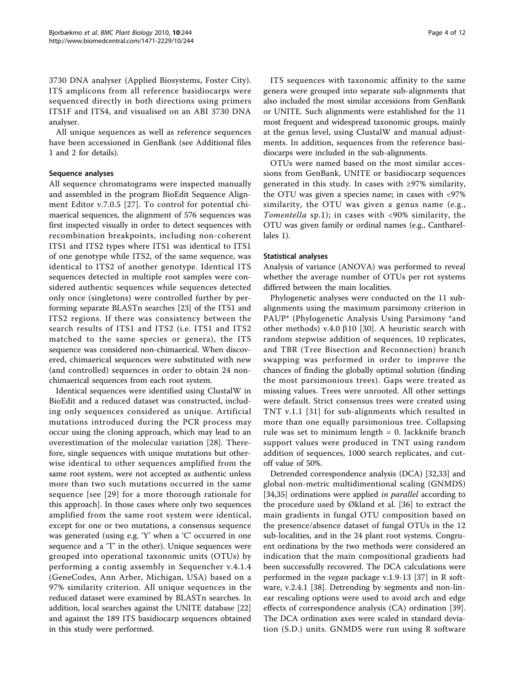3730 DNA analyser (Applied Biosystems, Foster City). ITS amplicons from all reference basidiocarps were sequenced directly in both directions using primers ITS1F and ITS4, and visualised on an ABI 3730 DNA analyser.

All unique sequences as well as reference sequences have been accessioned in GenBank (see Additional files [1](#page-9-0) and [2](#page-9-0) for details).

# Sequence analyses

All sequence chromatograms were inspected manually and assembled in the program BioEdit Sequence Alignment Editor v.7.0.5 [[27](#page-10-0)]. To control for potential chimaerical sequences, the alignment of 576 sequences was first inspected visually in order to detect sequences with recombination breakpoints, including non-coherent ITS1 and ITS2 types where ITS1 was identical to ITS1 of one genotype while ITS2, of the same sequence, was identical to ITS2 of another genotype. Identical ITS sequences detected in multiple root samples were considered authentic sequences while sequences detected only once (singletons) were controlled further by performing separate BLASTn searches [[23](#page-10-0)] of the ITS1 and ITS2 regions. If there was consistency between the search results of ITS1 and ITS2 (i.e. ITS1 and ITS2 matched to the same species or genera), the ITS sequence was considered non-chimaerical. When discovered, chimaerical sequences were substituted with new (and controlled) sequences in order to obtain 24 nonchimaerical sequences from each root system.

Identical sequences were identified using ClustalW in BioEdit and a reduced dataset was constructed, including only sequences considered as unique. Artificial mutations introduced during the PCR process may occur using the cloning approach, which may lead to an overestimation of the molecular variation [\[28\]](#page-10-0). Therefore, single sequences with unique mutations but otherwise identical to other sequences amplified from the same root system, were not accepted as authentic unless more than two such mutations occurred in the same sequence [see [[29\]](#page-10-0) for a more thorough rationale for this approach]. In those cases where only two sequences amplified from the same root system were identical, except for one or two mutations, a consensus sequence was generated (using e.g. 'Y' when a 'C' occurred in one sequence and a 'T' in the other). Unique sequences were grouped into operational taxonomic units (OTUs) by performing a contig assembly in Sequencher v.4.1.4 (GeneCodes, Ann Arber, Michigan, USA) based on a 97% similarity criterion. All unique sequences in the reduced dataset were examined by BLASTn searches. In addition, local searches against the UNITE database [[22](#page-10-0)] and against the 189 ITS basidiocarp sequences obtained in this study were performed.

ITS sequences with taxonomic affinity to the same genera were grouped into separate sub-alignments that also included the most similar accessions from GenBank or UNITE. Such alignments were established for the 11 most frequent and widespread taxonomic groups, mainly at the genus level, using ClustalW and manual adjustments. In addition, sequences from the reference basidiocarps were included in the sub-alignments.

OTUs were named based on the most similar accessions from GenBank, UNITE or basidiocarp sequences generated in this study. In cases with ≥97% similarity, the OTU was given a species name; in cases with <97% similarity, the OTU was given a genus name (e.g., Tomentella sp.1); in cases with <90% similarity, the OTU was given family or ordinal names (e.g., Cantharellales 1).

#### Statistical analyses

Analysis of variance (ANOVA) was performed to reveal whether the average number of OTUs per rot systems differed between the main localities.

Phylogenetic analyses were conducted on the 11 subalignments using the maximum parsimony criterion in PAUP\* (Phylogenetic Analysis Using Parsimony \*and other methods) v.4.0  $\beta$ 10 [\[30\]](#page-10-0). A heuristic search with random stepwise addition of sequences, 10 replicates, and TBR (Tree Bisection and Reconnection) branch swapping was performed in order to improve the chances of finding the globally optimal solution (finding the most parsimonious trees). Gaps were treated as missing values. Trees were unrooted. All other settings were default. Strict consensus trees were created using TNT v.1.1 [[31\]](#page-10-0) for sub-alignments which resulted in more than one equally parsimonious tree. Collapsing rule was set to minimum length = 0. Jackknife branch support values were produced in TNT using random addition of sequences, 1000 search replicates, and cutoff value of 50%.

Detrended correspondence analysis (DCA) [\[32,33](#page-10-0)] and global non-metric multidimentional scaling (GNMDS) [[34,35\]](#page-10-0) ordinations were applied *in parallel* according to the procedure used by Økland et al. [[36\]](#page-10-0) to extract the main gradients in fungal OTU composition based on the presence/absence dataset of fungal OTUs in the 12 sub-localities, and in the 24 plant root systems. Congruent ordinations by the two methods were considered an indication that the main compositional gradients had been successfully recovered. The DCA calculations were performed in the vegan package v.1.9-13 [\[37](#page-10-0)] in R software, v.2.4.1 [[38](#page-10-0)]. Detrending by segments and non-linear rescaling options were used to avoid arch and edge effects of correspondence analysis (CA) ordination [\[39](#page-10-0)]. The DCA ordination axes were scaled in standard deviation (S.D.) units. GNMDS were run using R software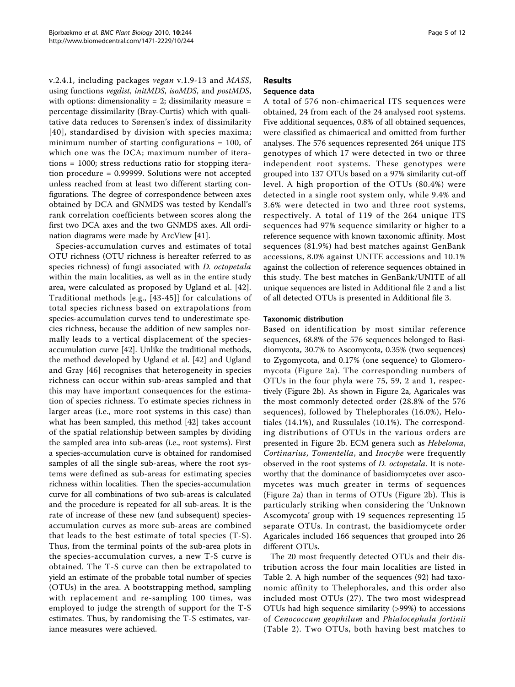v.2.4.1, including packages vegan v.1.9-13 and MASS, using functions vegdist, initMDS, isoMDS, and postMDS, with options: dimensionality = 2; dissimilarity measure = percentage dissimilarity (Bray-Curtis) which with qualitative data reduces to Sørensen's index of dissimilarity [[40](#page-10-0)], standardised by division with species maxima; minimum number of starting configurations = 100, of which one was the DCA; maximum number of iterations = 1000; stress reductions ratio for stopping iteration procedure = 0.99999. Solutions were not accepted unless reached from at least two different starting configurations. The degree of correspondence between axes obtained by DCA and GNMDS was tested by Kendall's rank correlation coefficients between scores along the first two DCA axes and the two GNMDS axes. All ordination diagrams were made by ArcView [\[41\]](#page-10-0).

Species-accumulation curves and estimates of total OTU richness (OTU richness is hereafter referred to as species richness) of fungi associated with D. octopetala within the main localities, as well as in the entire study area, were calculated as proposed by Ugland et al. [[42](#page-10-0)]. Traditional methods [e.g., [[43-45](#page-10-0)]] for calculations of total species richness based on extrapolations from species-accumulation curves tend to underestimate species richness, because the addition of new samples normally leads to a vertical displacement of the speciesaccumulation curve [[42](#page-10-0)]. Unlike the traditional methods, the method developed by Ugland et al. [[42\]](#page-10-0) and Ugland and Gray [[46](#page-10-0)] recognises that heterogeneity in species richness can occur within sub-areas sampled and that this may have important consequences for the estimation of species richness. To estimate species richness in larger areas (i.e., more root systems in this case) than what has been sampled, this method [[42\]](#page-10-0) takes account of the spatial relationship between samples by dividing the sampled area into sub-areas (i.e., root systems). First a species-accumulation curve is obtained for randomised samples of all the single sub-areas, where the root systems were defined as sub-areas for estimating species richness within localities. Then the species-accumulation curve for all combinations of two sub-areas is calculated and the procedure is repeated for all sub-areas. It is the rate of increase of these new (and subsequent) speciesaccumulation curves as more sub-areas are combined that leads to the best estimate of total species (T-S). Thus, from the terminal points of the sub-area plots in the species-accumulation curves, a new T-S curve is obtained. The T-S curve can then be extrapolated to yield an estimate of the probable total number of species (OTUs) in the area. A bootstrapping method, sampling with replacement and re-sampling 100 times, was employed to judge the strength of support for the T-S estimates. Thus, by randomising the T-S estimates, variance measures were achieved.

# Results

# Sequence data

A total of 576 non-chimaerical ITS sequences were obtained, 24 from each of the 24 analysed root systems. Five additional sequences, 0.8% of all obtained sequences, were classified as chimaerical and omitted from further analyses. The 576 sequences represented 264 unique ITS genotypes of which 17 were detected in two or three independent root systems. These genotypes were grouped into 137 OTUs based on a 97% similarity cut-off level. A high proportion of the OTUs (80.4%) were detected in a single root system only, while 9.4% and 3.6% were detected in two and three root systems, respectively. A total of 119 of the 264 unique ITS sequences had 97% sequence similarity or higher to a reference sequence with known taxonomic affinity. Most sequences (81.9%) had best matches against GenBank accessions, 8.0% against UNITE accessions and 10.1% against the collection of reference sequences obtained in this study. The best matches in GenBank/UNITE of all unique sequences are listed in Additional file [2](#page-9-0) and a list of all detected OTUs is presented in Additional file [3.](#page-9-0)

#### Taxonomic distribution

Based on identification by most similar reference sequences, 68.8% of the 576 sequences belonged to Basidiomycota, 30.7% to Ascomycota, 0.35% (two sequences) to Zygomycota, and 0.17% (one sequence) to Glomeromycota (Figure [2a](#page-5-0)). The corresponding numbers of OTUs in the four phyla were 75, 59, 2 and 1, respectively (Figure [2b\)](#page-5-0). As shown in Figure [2a](#page-5-0), Agaricales was the most commonly detected order (28.8% of the 576 sequences), followed by Thelephorales (16.0%), Helotiales (14.1%), and Russulales (10.1%). The corresponding distributions of OTUs in the various orders are presented in Figure [2b.](#page-5-0) ECM genera such as Hebeloma, Cortinarius, Tomentella, and Inocybe were frequently observed in the root systems of *D. octopetala*. It is noteworthy that the dominance of basidiomycetes over ascomycetes was much greater in terms of sequences (Figure [2a\)](#page-5-0) than in terms of OTUs (Figure [2b\)](#page-5-0). This is particularly striking when considering the 'Unknown Ascomycota' group with 19 sequences representing 15 separate OTUs. In contrast, the basidiomycete order Agaricales included 166 sequences that grouped into 26 different OTUs.

The 20 most frequently detected OTUs and their distribution across the four main localities are listed in Table [2.](#page-5-0) A high number of the sequences (92) had taxonomic affinity to Thelephorales, and this order also included most OTUs (27). The two most widespread OTUs had high sequence similarity (>99%) to accessions of Cenococcum geophilum and Phialocephala fortinii (Table [2\)](#page-5-0). Two OTUs, both having best matches to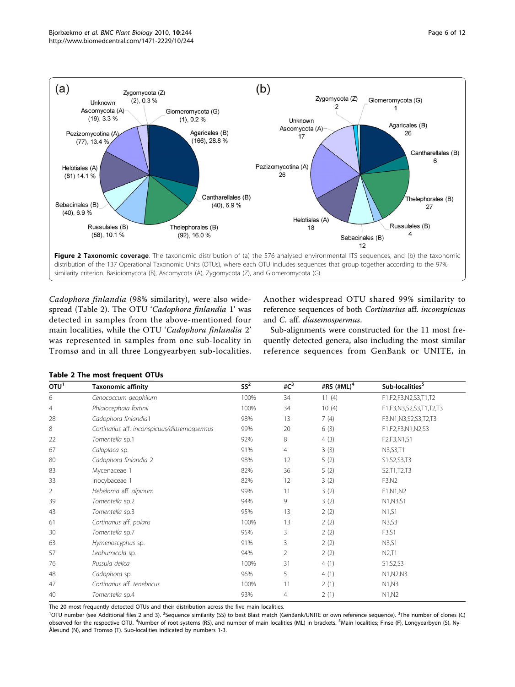<span id="page-5-0"></span>

Cadophora finlandia (98% similarity), were also widespread (Table 2). The OTU 'Cadophora finlandia 1' was detected in samples from the above-mentioned four main localities, while the OTU 'Cadophora finlandia 2' was represented in samples from one sub-locality in Tromsø and in all three Longyearbyen sub-localities.

Another widespread OTU shared 99% similarity to reference sequences of both Cortinarius aff. inconspicuus and C. aff. diasemospermus.

Sub-alignments were constructed for the 11 most frequently detected genera, also including the most similar reference sequences from GenBank or UNITE, in

| OTU <sup>1</sup> | <b>Taxonomic affinity</b>                    | $SS^2$ | # $C^3$        | #RS $(\text{HML})^4$ | Sub-localities <sup>5</sup>     |
|------------------|----------------------------------------------|--------|----------------|----------------------|---------------------------------|
| 6                | Cenococcum geophilum                         | 100%   | 34             | 11(4)                | F1,F2,F3,N2,S3,T1,T2            |
| $\overline{4}$   | Phialocephala fortinii                       | 100%   | 34             | 10(4)                | F1,F3,N3,S2,S3,T1,T2,T3         |
| 28               | Cadophora finlandia1                         | 98%    | 13             | 7(4)                 | F3, N1, N3, S2, S3, T2, T3      |
| 8                | Cortinarius aff. inconspicuus/diasemospermus | 99%    | 20             | 6(3)                 | F1,F2,F3,N1,N2,S3               |
| 22               | Tomentella sp.1                              | 92%    | 8              | 4(3)                 | F2,F3,N1,S1                     |
| 67               | Caloplaca sp.                                | 91%    | $\overline{4}$ | 3(3)                 | N3, S3, T1                      |
| 80               | Cadophora finlandia 2                        | 98%    | 12             | 5(2)                 | S1, S2, S3, T3                  |
| 83               | Mycenaceae 1                                 | 82%    | 36             | 5(2)                 | S2, T1, T2, T3                  |
| 33               | Inocybaceae 1                                | 82%    | 12             | 3(2)                 | F3, N2                          |
| 2                | Hebeloma aff. alpinum                        | 99%    | 11             | 3(2)                 | F1, N1, N2                      |
| 39               | Tomentella sp.2                              | 94%    | 9              | 3(2)                 | N1, N3, S1                      |
| 43               | Tomentella sp.3                              | 95%    | 13             | 2(2)                 | N <sub>1</sub> , S <sub>1</sub> |
| 61               | Cortinarius aff. polaris                     | 100%   | 13             | 2(2)                 | N3,S3                           |
| 30               | Tomentella sp.7                              | 95%    | 3              | 2(2)                 | F3, S1                          |
| 63               | Hymenoscyphus sp.                            | 91%    | 3              | 2(2)                 | N3, S1                          |
| 57               | Leohumicola sp.                              | 94%    | $\overline{2}$ | 2(2)                 | N2,T1                           |
| 76               | Russula delica                               | 100%   | 31             | 4(1)                 | S1, S2, S3                      |
| 48               | Cadophora sp.                                | 96%    | 5              | 4(1)                 | N1, N2, N3                      |
| 47               | Cortinarius aff. tenebricus                  | 100%   | 11             | 2(1)                 | N1,N3                           |
| 40               | Tomentella sp.4                              | 93%    | $\overline{4}$ | 2(1)                 | N1,N2                           |

#### Table 2 The most frequent OTUs

The 20 most frequently detected OTUs and their distribution across the five main localities.

<sup>1</sup>OTU number (see Additional files 2 and 3). <sup>2</sup>Sequence similarity (SS) to best Blast match (GenBank/UNITE or own reference sequence). <sup>3</sup>The number of clones (C) observed for the respective OTU. <sup>4</sup>Number of root systems (RS), and number of main localities (ML) in brackets. <sup>5</sup>Main localities; Finse (F), Longyearbyen (S), Ny-Ålesund (N), and Tromsø (T). Sub-localities indicated by numbers 1-3.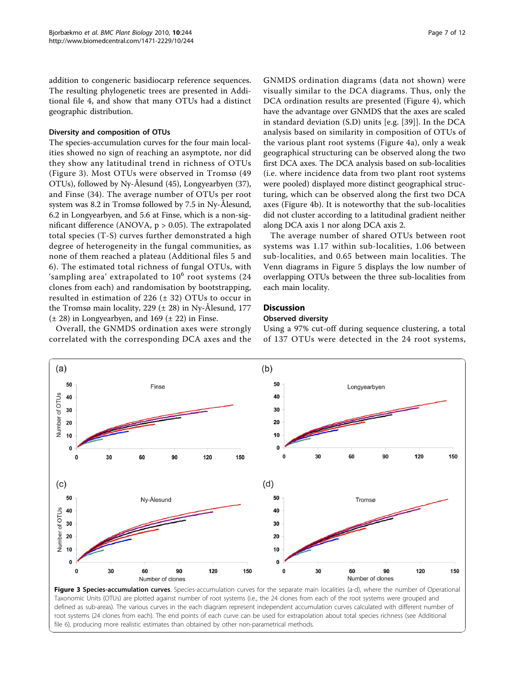addition to congeneric basidiocarp reference sequences. The resulting phylogenetic trees are presented in Additional file [4](#page-9-0), and show that many OTUs had a distinct geographic distribution.

#### Diversity and composition of OTUs

 $(a)$ 

50

The species-accumulation curves for the four main localities showed no sign of reaching an asymptote, nor did they show any latitudinal trend in richness of OTUs (Figure 3). Most OTUs were observed in Tromsø (49 OTUs), followed by Ny-Ålesund (45), Longyearbyen (37), and Finse (34). The average number of OTUs per root system was 8.2 in Tromsø followed by 7.5 in Ny-Ålesund, 6.2 in Longyearbyen, and 5.6 at Finse, which is a non-significant difference (ANOVA, p > 0.05). The extrapolated total species (T-S) curves further demonstrated a high degree of heterogeneity in the fungal communities, as none of them reached a plateau (Additional files [5](#page-9-0) and [6\)](#page-9-0). The estimated total richness of fungal OTUs, with 'sampling area' extrapolated to  $10^6$  root systems (24) clones from each) and randomisation by bootstrapping, resulted in estimation of 226  $(\pm 32)$  OTUs to occur in the Tromsø main locality, 229 ( $\pm$  28) in Ny-Ålesund, 177  $(\pm 28)$  in Longyearbyen, and 169  $(\pm 22)$  in Finse.

Overall, the GNMDS ordination axes were strongly correlated with the corresponding DCA axes and the

Finse

GNMDS ordination diagrams (data not shown) were visually similar to the DCA diagrams. Thus, only the DCA ordination results are presented (Figure [4\)](#page-7-0), which have the advantage over GNMDS that the axes are scaled in standard deviation (S.D) units [e.g. [[39\]](#page-10-0)]. In the DCA analysis based on similarity in composition of OTUs of the various plant root systems (Figure [4a\)](#page-7-0), only a weak geographical structuring can be observed along the two first DCA axes. The DCA analysis based on sub-localities (i.e. where incidence data from two plant root systems were pooled) displayed more distinct geographical structuring, which can be observed along the first two DCA axes (Figure [4b\)](#page-7-0). It is noteworthy that the sub-localities did not cluster according to a latitudinal gradient neither along DCA axis 1 nor along DCA axis 2.

The average number of shared OTUs between root systems was 1.17 within sub-localities, 1.06 between sub-localities, and 0.65 between main localities. The Venn diagrams in Figure [5](#page-7-0) displays the low number of overlapping OTUs between the three sub-localities from each main locality.

# **Discussion**

 $(b)$ 

50

# Observed diversity

Using a 97% cut-off during sequence clustering, a total of 137 OTUs were detected in the 24 root systems,

Longyearbyen



root systems (24 clones from each). The end points of each curve can be used for extrapolation about total species richness (see Additional file [6\)](#page-9-0), producing more realistic estimates than obtained by other non-parametrical methods.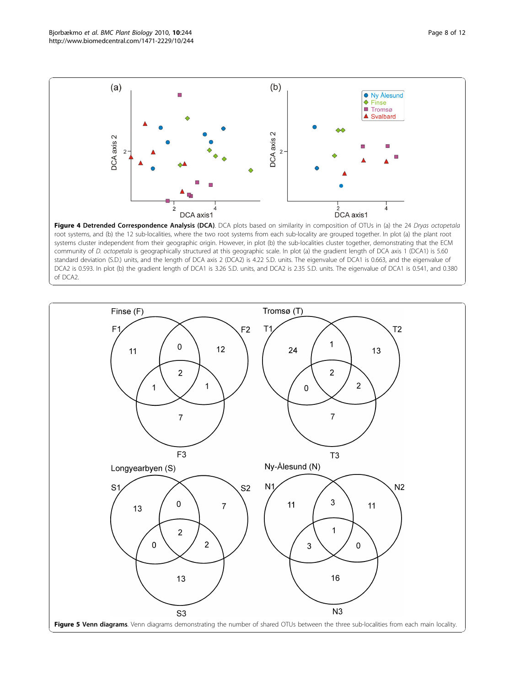<span id="page-7-0"></span>

systems cluster independent from their geographic origin. However, in plot (b) the sub-localities cluster together, demonstrating that the ECM community of D. octopetala is geographically structured at this geographic scale. In plot (a) the gradient length of DCA axis 1 (DCA1) is 5.60 standard deviation (S.D.) units, and the length of DCA axis 2 (DCA2) is 4.22 S.D. units. The eigenvalue of DCA1 is 0.663, and the eigenvalue of DCA2 is 0.593. In plot (b) the gradient length of DCA1 is 3.26 S.D. units, and DCA2 is 2.35 S.D. units. The eigenvalue of DCA1 is 0.541, and 0.380 of DCA2.

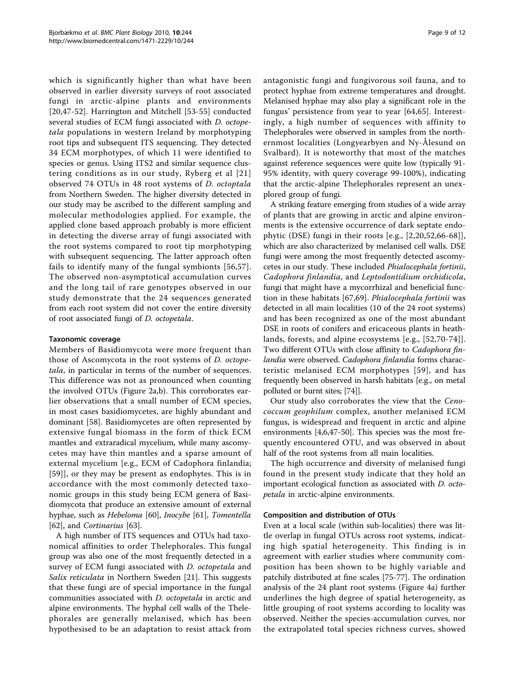which is significantly higher than what have been observed in earlier diversity surveys of root associated fungi in arctic-alpine plants and environments [[20,47](#page-10-0)[-52](#page-11-0)]. Harrington and Mitchell [\[53-55](#page-11-0)] conducted several studies of ECM fungi associated with D. octopetala populations in western Ireland by morphotyping root tips and subsequent ITS sequencing. They detected 34 ECM morphotypes, of which 11 were identified to species or genus. Using ITS2 and similar sequence clustering conditions as in our study, Ryberg et al [[21](#page-10-0)] observed 74 OTUs in 48 root systems of D. octoptala from Northern Sweden. The higher diversity detected in our study may be ascribed to the different sampling and molecular methodologies applied. For example, the applied clone based approach probably is more efficient in detecting the diverse array of fungi associated with the root systems compared to root tip morphotyping with subsequent sequencing. The latter approach often fails to identify many of the fungal symbionts [[56](#page-11-0),[57](#page-11-0)]. The observed non-asymptotical accumulation curves and the long tail of rare genotypes observed in our study demonstrate that the 24 sequences generated from each root system did not cover the entire diversity of root associated fungi of D. octopetala.

# Taxonomic coverage

Members of Basidiomycota were more frequent than those of Ascomycota in the root systems of D. octopetala, in particular in terms of the number of sequences. This difference was not as pronounced when counting the involved OTUs (Figure [2a,b\)](#page-5-0). This corroborates earlier observations that a small number of ECM species, in most cases basidiomycetes, are highly abundant and dominant [\[58](#page-11-0)]. Basidiomycetes are often represented by extensive fungal biomass in the form of thick ECM mantles and extraradical mycelium, while many ascomycetes may have thin mantles and a sparse amount of external mycelium [e.g., ECM of Cadophora finlandia; [[59](#page-11-0)]], or they may be present as endophytes. This is in accordance with the most commonly detected taxonomic groups in this study being ECM genera of Basidiomycota that produce an extensive amount of external hyphae, such as Hebeloma [\[60](#page-11-0)], Inocybe [\[61](#page-11-0)], Tomentella [[62\]](#page-11-0), and Cortinarius [\[63\]](#page-11-0).

A high number of ITS sequences and OTUs had taxonomical affinities to order Thelephorales. This fungal group was also one of the most frequently detected in a survey of ECM fungi associated with *D. octopetala* and Salix reticulata in Northern Sweden [[21\]](#page-10-0). This suggests that these fungi are of special importance in the fungal communities associated with D. octopetala in arctic and alpine environments. The hyphal cell walls of the Thelephorales are generally melanised, which has been hypothesised to be an adaptation to resist attack from antagonistic fungi and fungivorous soil fauna, and to protect hyphae from extreme temperatures and drought. Melanised hyphae may also play a significant role in the fungus' persistence from year to year [[64,65](#page-11-0)]. Interestingly, a high number of sequences with affinity to Thelephorales were observed in samples from the northernmost localities (Longyearbyen and Ny-Ålesund on Svalbard). It is noteworthy that most of the matches against reference sequences were quite low (typically 91- 95% identity, with query coverage 99-100%), indicating that the arctic-alpine Thelephorales represent an unexplored group of fungi.

A striking feature emerging from studies of a wide array of plants that are growing in arctic and alpine environments is the extensive occurrence of dark septate endophytic (DSE) fungi in their roots [e.g., [[2,20,](#page-10-0)[52](#page-11-0),[66-68\]](#page-11-0)], which are also characterized by melanised cell walls. DSE fungi were among the most frequently detected ascomycetes in our study. These included Phialocephala fortinii, Cadophora finlandia, and Leptodontidium orchidicola, fungi that might have a mycorrhizal and beneficial function in these habitats [[67,69](#page-11-0)]. Phialocephala fortinii was detected in all main localities (10 of the 24 root systems) and has been recognized as one of the most abundant DSE in roots of conifers and ericaceous plants in heathlands, forests, and alpine ecosystems [e.g., [\[52,70-74\]](#page-11-0)]. Two different OTUs with close affinity to Cadophora finlandia were observed. Cadophora finlandia forms characteristic melanised ECM morphotypes [[59\]](#page-11-0), and has frequently been observed in harsh habitats [e.g., on metal polluted or burnt sites; [\[74\]](#page-11-0)].

Our study also corroborates the view that the Cenococcum geophilum complex, another melanised ECM fungus, is widespread and frequent in arctic and alpine environments [\[4,6,47-50](#page-10-0)]. This species was the most frequently encountered OTU, and was observed in about half of the root systems from all main localities.

The high occurrence and diversity of melanised fungi found in the present study indicate that they hold an important ecological function as associated with D. octopetala in arctic-alpine environments.

#### Composition and distribution of OTUs

Even at a local scale (within sub-localities) there was little overlap in fungal OTUs across root systems, indicating high spatial heterogeneity. This finding is in agreement with earlier studies where community composition has been shown to be highly variable and patchily distributed at fine scales [\[75](#page-11-0)-[77](#page-11-0)]. The ordination analysis of the 24 plant root systems (Figure [4a](#page-7-0)) further underlines the high degree of spatial heterogeneity, as little grouping of root systems according to locality was observed. Neither the species-accumulation curves, nor the extrapolated total species richness curves, showed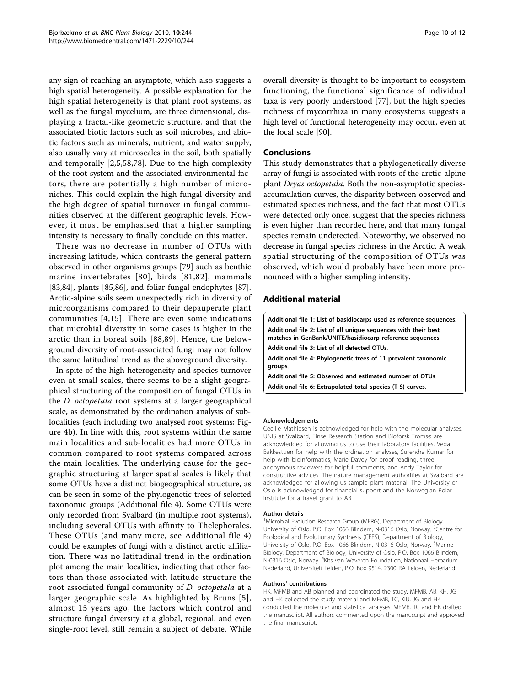<span id="page-9-0"></span>any sign of reaching an asymptote, which also suggests a high spatial heterogeneity. A possible explanation for the high spatial heterogeneity is that plant root systems, as well as the fungal mycelium, are three dimensional, displaying a fractal-like geometric structure, and that the associated biotic factors such as soil microbes, and abiotic factors such as minerals, nutrient, and water supply, also usually vary at microscales in the soil, both spatially and temporally [\[2](#page-10-0),[5,](#page-10-0)[58,78](#page-11-0)]. Due to the high complexity of the root system and the associated environmental factors, there are potentially a high number of microniches. This could explain the high fungal diversity and the high degree of spatial turnover in fungal communities observed at the different geographic levels. However, it must be emphasised that a higher sampling intensity is necessary to finally conclude on this matter.

There was no decrease in number of OTUs with increasing latitude, which contrasts the general pattern observed in other organisms groups [[79\]](#page-11-0) such as benthic marine invertebrates [[80\]](#page-11-0), birds [[81,82](#page-11-0)], mammals [[83,84\]](#page-11-0), plants [\[85,86\]](#page-11-0), and foliar fungal endophytes [\[87](#page-11-0)]. Arctic-alpine soils seem unexpectedly rich in diversity of microorganisms compared to their depauperate plant communities [[4](#page-10-0),[15\]](#page-10-0). There are even some indications that microbial diversity in some cases is higher in the arctic than in boreal soils [[88,89\]](#page-11-0). Hence, the belowground diversity of root-associated fungi may not follow the same latitudinal trend as the aboveground diversity.

In spite of the high heterogeneity and species turnover even at small scales, there seems to be a slight geographical structuring of the composition of fungal OTUs in the D. octopetala root systems at a larger geographical scale, as demonstrated by the ordination analysis of sublocalities (each including two analysed root systems; Figure [4b](#page-7-0)). In line with this, root systems within the same main localities and sub-localities had more OTUs in common compared to root systems compared across the main localities. The underlying cause for the geographic structuring at larger spatial scales is likely that some OTUs have a distinct biogeographical structure, as can be seen in some of the phylogenetic trees of selected taxonomic groups (Additional file 4). Some OTUs were only recorded from Svalbard (in multiple root systems), including several OTUs with affinity to Thelephorales. These OTUs (and many more, see Additional file 4) could be examples of fungi with a distinct arctic affiliation. There was no latitudinal trend in the ordination plot among the main localities, indicating that other factors than those associated with latitude structure the root associated fungal community of D. octopetala at a larger geographic scale. As highlighted by Bruns [[5\]](#page-10-0), almost 15 years ago, the factors which control and structure fungal diversity at a global, regional, and even single-root level, still remain a subject of debate. While

overall diversity is thought to be important to ecosystem functioning, the functional significance of individual taxa is very poorly understood [\[77](#page-11-0)], but the high species richness of mycorrhiza in many ecosystems suggests a high level of functional heterogeneity may occur, even at the local scale [[90\]](#page-11-0).

#### Conclusions

This study demonstrates that a phylogenetically diverse array of fungi is associated with roots of the arctic-alpine plant Dryas octopetala. Both the non-asymptotic speciesaccumulation curves, the disparity between observed and estimated species richness, and the fact that most OTUs were detected only once, suggest that the species richness is even higher than recorded here, and that many fungal species remain undetected. Noteworthy, we observed no decrease in fungal species richness in the Arctic. A weak spatial structuring of the composition of OTUs was observed, which would probably have been more pronounced with a higher sampling intensity.

#### Additional material

[Additional file 1: L](http://www.biomedcentral.com/content/supplementary/1471-2229-10-244-S1.DOC)ist of basidiocarps used as reference sequences. [Additional file 2: L](http://www.biomedcentral.com/content/supplementary/1471-2229-10-244-S2.DOC)ist of all unique sequences with their best matches in GenBank/UNITE/basidiocarp reference sequences. [Additional file 3: L](http://www.biomedcentral.com/content/supplementary/1471-2229-10-244-S3.DOC)ist of all detected OTUs. [Additional file 4: P](http://www.biomedcentral.com/content/supplementary/1471-2229-10-244-S4.DOC)hylogenetic trees of 11 prevalent taxonomic groups. [Additional file 5: O](http://www.biomedcentral.com/content/supplementary/1471-2229-10-244-S5.DOC)bserved and estimated number of OTUs. [Additional file 6: E](http://www.biomedcentral.com/content/supplementary/1471-2229-10-244-S6.DOC)xtrapolated total species (T-S) curves.

#### Acknowledgements

Cecilie Mathiesen is acknowledged for help with the molecular analyses. UNIS at Svalbard, Finse Research Station and Bioforsk Tromsø are acknowledged for allowing us to use their laboratory facilities, Vegar Bakkestuen for help with the ordination analyses, Surendra Kumar for help with bioinformatics, Marie Davey for proof reading, three anonymous reviewers for helpful comments, and Andy Taylor for constructive advices. The nature management authorities at Svalbard are acknowledged for allowing us sample plant material. The University of Oslo is acknowledged for financial support and the Norwegian Polar Institute for a travel grant to AB.

#### Author details

<sup>1</sup>Microbial Evolution Research Group (MERG), Department of Biology, University of Oslo, P.O. Box 1066 Blindern, N-0316 Oslo, Norway. <sup>2</sup>Centre for Ecological and Evolutionary Synthesis (CEES), Department of Biology, University of Oslo, P.O. Box 1066 Blindern, N-0316 Oslo, Norway. <sup>3</sup>Marine Biology, Department of Biology, University of Oslo, P.O. Box 1066 Blindern, N-0316 Oslo, Norway. <sup>4</sup>Kits van Waveren Foundation, Nationaal Herbarium Nederland, Universiteit Leiden, P.O. Box 9514, 2300 RA Leiden, Nederland.

#### Authors' contributions

HK, MFMB and AB planned and coordinated the study. MFMB, AB, KH, JG and HK collected the study material and MFMB, TC, KIU, JG and HK conducted the molecular and statistical analyses. MFMB, TC and HK drafted the manuscript. All authors commented upon the manuscript and approved the final manuscript.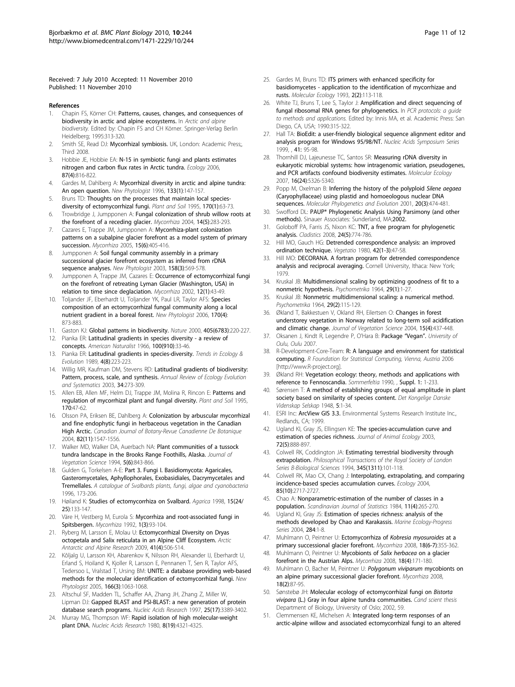<span id="page-10-0"></span>Received: 7 July 2010 Accepted: 11 November 2010 Published: 11 November 2010

#### References

- 1. Chapin FS, Körner CH: Patterns, causes, changes, and consequences of biodiversity in arctic and alpine ecosystems. In Arctic and alpine biodiversity. Edited by: Chapin FS and CH Körner. Springer-Verlag Berlin Heidelberg; 1995:313-320.
- 2. Smith SE, Read DJ: Mycorrhizal symbiosis. UK, London: Academic Press;, Third 2008.
- Hobbie JE, Hobbie EA: [N-15 in symbiotic fungi and plants estimates](http://www.ncbi.nlm.nih.gov/pubmed/16676524?dopt=Abstract) [nitrogen and carbon flux rates in Arctic tundra.](http://www.ncbi.nlm.nih.gov/pubmed/16676524?dopt=Abstract) Ecology 2006, 87(4):816-822.
- 4. Gardes M, Dahlberg A: Mycorrhizal diversity in arctic and alpine tundra: An open question. New Phytologist 1996, 133(1):147-157.
- 5. Bruns TD: Thoughts on the processes that maintain local speciesdiversity of ectomycorrhizal fungi. Plant and Soil 1995, 170(1):63-73.
- Trowbridge J, Jumpponen A: [Fungal colonization of shrub willow roots at](http://www.ncbi.nlm.nih.gov/pubmed/14530929?dopt=Abstract) [the forefront of a receding glacier.](http://www.ncbi.nlm.nih.gov/pubmed/14530929?dopt=Abstract) Mycorrhiza 2004, 14(5):283-293.
- 7. Cazares E, Trappe JM, Jumpponen A: [Mycorrhiza-plant colonization](http://www.ncbi.nlm.nih.gov/pubmed/15772815?dopt=Abstract) [patterns on a subalpine glacier forefront as a model system of primary](http://www.ncbi.nlm.nih.gov/pubmed/15772815?dopt=Abstract) [succession.](http://www.ncbi.nlm.nih.gov/pubmed/15772815?dopt=Abstract) Mycorrhiza 2005, 15(6):405-416.
- 8. Jumpponen A: Soil fungal community assembly in a primary successional glacier forefront ecosystem as inferred from rDNA sequence analyses. New Phytologist 2003, 158(3):569-578.
- 9. Jumpponen A, Trappe JM, Cazares E: [Occurrence of ectomycorrhizal fungi](http://www.ncbi.nlm.nih.gov/pubmed/11968946?dopt=Abstract) [on the forefront of retreating Lyman Glacier \(Washington, USA\) in](http://www.ncbi.nlm.nih.gov/pubmed/11968946?dopt=Abstract) [relation to time since deglaciation.](http://www.ncbi.nlm.nih.gov/pubmed/11968946?dopt=Abstract) Mycorrhiza 2002, 12(1):43-49.
- 10. Toljander JF, Eberhardt U, Toljander YK, Paul LR, Taylor AFS: [Species](http://www.ncbi.nlm.nih.gov/pubmed/16684245?dopt=Abstract) [composition of an ectomycorrhizal fungal community along a local](http://www.ncbi.nlm.nih.gov/pubmed/16684245?dopt=Abstract) [nutrient gradient in a boreal forest.](http://www.ncbi.nlm.nih.gov/pubmed/16684245?dopt=Abstract) New Phytologist 2006, 170(4): 873-883.
- 11. Gaston KJ: [Global patterns in biodiversity.](http://www.ncbi.nlm.nih.gov/pubmed/10821282?dopt=Abstract) Nature 2000, 405(6783):220-227.
- 12. Pianka ER: Latitudinal gradients in species diversity a review of concepts. American Naturalist 1966, 100(910):33-46.
- 13. Pianka ER: Latitudinal gradients in species-diversity. Trends in Ecology & Evolution 1989, 4(8):223-223.
- 14. Willig MR, Kaufman DM, Stevens RD: Latitudinal gradients of biodiversity: Pattern, process, scale, and synthesis. Annual Review of Ecology Evolution and Systematics 2003, 34:273-309.
- 15. Allen EB, Allen MF, Helm DJ, Trappe JM, Molina R, Rincon E: Patterns and regulation of mycorrhizal plant and fungal diversity. Plant and Soil 1995, 170:47-62.
- 16. Olsson PA, Eriksen BE, Dahlberg A: Colonization by arbuscular mycorrhizal and fine endophytic fungi in herbaceous vegetation in the Canadian High Arctic. Canadian Journal of Botany-Revue Canadienne De Botanique 2004, 82(11):1547-1556.
- 17. Walker MD, Walker DA, Auerbach NA: Plant communities of a tussock tundra landscape in the Brooks Range Foothills, Alaska. Journal of Vegetation Science 1994, 5(6):843-866.
- 18. Gulden G, Torkelsen A-E: Part 3. Fungi I. Basidiomycota: Agaricales, Gasteromycetales, Aphyllophorales, Exobasidiales, Dacrymycetales and Tremellales. A catalogue of Svalbards plants, fungi, algae and cyanobacteria 1996, 173-206.
- 19. Høiland K: Studies of ectomycorrhiza on Svalbard. Agarica 1998, 15(24/ 25):133-147.
- 20. Väre H, Vestberg M, Eurola S: Mycorrhiza and root-associated fungi in Spitsbergen. Mycorrhiza 1992, 1(3):93-104.
- 21. Ryberg M, Larsson E, Molau U: Ectomycorrhizal Diversity on Dryas octopetala and Salix reticulata in an Alpine Cliff Ecosystem. Arctic Antarctic and Alpine Research 2009, 41(4):506-514.
- 22. Kõljalg U, Larsson KH, Abarenkov K, Nilsson RH, Alexander IJ, Eberhardt U, Erland S, Hoiland K, Kjoller R, Larsson E, Pennanen T, Sen R, Taylor AFS, Tedersoo L, Vralstad T, Ursing BM: [UNITE: a database providing web-based](http://www.ncbi.nlm.nih.gov/pubmed/15869663?dopt=Abstract) [methods for the molecular identification of ectomycorrhizal fungi.](http://www.ncbi.nlm.nih.gov/pubmed/15869663?dopt=Abstract) New Phytologist 2005, 166(3):1063-1068.
- 23. Altschul SF, Madden TL, Schaffer AA, Zhang JH, Zhang Z, Miller W, Lipman DJ: [Gapped BLAST and PSI-BLAST: a new generation of protein](http://www.ncbi.nlm.nih.gov/pubmed/9254694?dopt=Abstract) [database search programs.](http://www.ncbi.nlm.nih.gov/pubmed/9254694?dopt=Abstract) Nucleic Acids Research 1997, 25(17):3389-3402.
- 24. Murray MG, Thompson WF: [Rapid isolation of high molecular-weight](http://www.ncbi.nlm.nih.gov/pubmed/7433111?dopt=Abstract) [plant DNA.](http://www.ncbi.nlm.nih.gov/pubmed/7433111?dopt=Abstract) Nucleic Acids Research 1980, 8(19):4321-4325.
- 25. Gardes M, Bruns TD: [ITS primers with enhanced specificity for](http://www.ncbi.nlm.nih.gov/pubmed/8180733?dopt=Abstract) [basidiomycetes - application to the identification of mycorrhizae and](http://www.ncbi.nlm.nih.gov/pubmed/8180733?dopt=Abstract) [rusts.](http://www.ncbi.nlm.nih.gov/pubmed/8180733?dopt=Abstract) Molecular Ecology 1993, 2(2):113-118.
- 26. White TJ, Bruns T, Lee S, Taylor J: Amplification and direct sequencing of fungal ribosomal RNA genes for phylogenetics. In PCR protocols: a guide to methods and applications. Edited by: Innis MA, et al. Academic Press: San Diego, CA, USA; 1990:315-322.
- 27. Hall TA: [BioEdit: a user-friendly biological sequence alignment editor and](http://www.ncbi.nlm.nih.gov/pubmed/10780396?dopt=Abstract) [analysis program for Windows 95/98/NT.](http://www.ncbi.nlm.nih.gov/pubmed/10780396?dopt=Abstract) Nucleic Acids Symposium Series  $1999$ ,  $41 \cdot 95 - 98$ .
- 28. Thornhill DJ, Lajeunesse TC, Santos SR: [Measuring rDNA diversity in](http://www.ncbi.nlm.nih.gov/pubmed/17995924?dopt=Abstract) [eukaryotic microbial systems: how intragenomic variation, pseudogenes,](http://www.ncbi.nlm.nih.gov/pubmed/17995924?dopt=Abstract) [and PCR artifacts confound biodiversity estimates.](http://www.ncbi.nlm.nih.gov/pubmed/17995924?dopt=Abstract) Molecular Ecology 2007, 16(24):5326-5340.
- 29. Popp M, Oxelman B: [Inferring the history of the polyploid](http://www.ncbi.nlm.nih.gov/pubmed/11527472?dopt=Abstract) Silene aegaea [\(Caryophyllaceae\) using plastid and homoeologous nuclear DNA](http://www.ncbi.nlm.nih.gov/pubmed/11527472?dopt=Abstract) [sequences.](http://www.ncbi.nlm.nih.gov/pubmed/11527472?dopt=Abstract) Molecular Phylogenetics and Evolution 2001, 20(3):474-481.
- 30. Swofford DL: PAUP\* Phylogenetic Analysis Using Parsimony (and other methods). Sinauer Associates: Sunderland, MA;2002.
- 31. Goloboff PA, Farris JS, Nixon KC: TNT, a free program for phylogenetic analysis. Cladistics 2008, 24(5):774-786.
- 32. Hill MO, Gauch HG: Detrended correspondence analysis: an improved ordination technique. Vegetatio 1980, 42(1-3):47-58.
- 33. Hill MO: DECORANA. A fortran program for detrended correspondence analysis and reciprocal averaging. Cornell University, Ithaca: New York: 1979.
- 34. Kruskal JB: Multidimensional scaling by optimizing goodness of fit to a nonmetric hypothesis. Psychometrika 1964, 29(1):1-27.
- 35. Kruskal JB: Nonmetric multidimensional scaling: a numerical method. Psychometrika 1964, 29(2):115-129.
- 36. Økland T, Bakkestuen V, Okland RH, Eilertsen O: Changes in forest understorey vegetation in Norway related to long-term soil acidification and climatic change. Journal of Vegetation Science 2004, 15(4):437-448.
- 37. Oksanen J, Kindt R, Legendre P, O'Hara B: Package "Vegan". University of Oulu, Oulu 2007.
- 38. R-Development-Core-Team: R: A language and environment for statistical computing. R Foundation for Statistical Computing, Vienna, Austria 2006 [<http://www.R-project.org>].
- 39. Økland RH: Vegetation ecology: theory, methods and applications with reference to Fennoscandia. Sommerfeltia 1990, , Suppl. 1: 1-233.
- 40. Sørensen T: A method of establishing groups of equal amplitude in plant society based on similarity of species content. Det Kongelige Danske Videnskap Selskap 1948, 5:1-34.
- 41. ESRI Inc: ArcView GIS 3.3. Environmental Systems Research Institute Inc., Redlands, CA; 1999.
- 42. Ugland KI, Gray JS, Ellingsen KE: The species-accumulation curve and estimation of species richness. Journal of Animal Ecology 2003, 72(5):888-897.
- 43. Colwell RK, Coddington JA: Estimating terrestrial biodiversity through extrapolation. Philosophical Transactions of the Royal Society of London Series B-Biological Sciences 1994, 345(1311):101-118.
- 44. Colwell RK, Mao CX, Chang J: Interpolating, extrapolating, and comparing incidence-based species accumulation curves. Ecology 2004, 85(10):2717-2727.
- Chao A: Nonparametric-estimation of the number of classes in a population. Scandinavian Journal of Statistics 1984, 11(4):265-270.
- 46. Ugland KI, Gray JS: Estimation of species richness: analysis of the methods developed by Chao and Karakassis. Marine Ecology-Progress Series 2004, 284:1-8.
- 47. Muhlmann O, Peintner U: Ectomycorrhiza of [Kobresia myosuroides](http://www.ncbi.nlm.nih.gov/pubmed/18679725?dopt=Abstract) at a [primary successional glacier forefront.](http://www.ncbi.nlm.nih.gov/pubmed/18679725?dopt=Abstract) Mycorrhiza 2008, 18(6-7):355-362.
- 48. Muhlmann O, Peintner U: [Mycobionts of](http://www.ncbi.nlm.nih.gov/pubmed/18365257?dopt=Abstract) Salix herbacea on a glacier [forefront in the Austrian Alps.](http://www.ncbi.nlm.nih.gov/pubmed/18365257?dopt=Abstract) Mycorrhiza 2008, 18(4):171-180.
- 49. Muhlmann O, Bacher M, Peintner U: [Polygonum viviparum](http://www.ncbi.nlm.nih.gov/pubmed/18064497?dopt=Abstract) mycobionts on [an alpine primary successional glacier forefront.](http://www.ncbi.nlm.nih.gov/pubmed/18064497?dopt=Abstract) Mycorrhiza 2008, 18(2):87-95.
- 50. Sønstebø JH: Molecular ecology of ectomycorrhizal fungi on Bistorta vivipara (L.) Gray in four alpine tundra communities. Cand scient thesis Department of Biology, University of Oslo; 2002, 59.
- 51. Clemmensen KE, Michelsen A: Integrated long-term responses of an arctic-alpine willow and associated ectomycorrhizal fungi to an altered